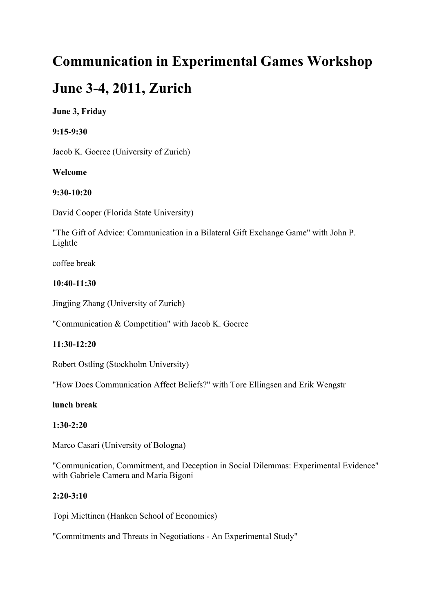# **Communication in Experimental Games Workshop**

# **June 3-4, 2011, Zurich**

# **June 3, Friday**

**9:15-9:30**

Jacob K. Goeree (University of Zurich)

# **Welcome**

# **9:30-10:20**

David Cooper (Florida State University)

"The Gift of Advice: Communication in a Bilateral Gift Exchange Game" with John P. Lightle

coffee break

# **10:40-11:30**

Jingjing Zhang (University of Zurich)

"Communication & Competition" with Jacob K. Goeree

# **11:30-12:20**

Robert Ostling (Stockholm University)

"How Does Communication Affect Beliefs?" with Tore Ellingsen and Erik Wengstr

## **lunch break**

## **1:30-2:20**

Marco Casari (University of Bologna)

"Communication, Commitment, and Deception in Social Dilemmas: Experimental Evidence" with Gabriele Camera and Maria Bigoni

## **2:20-3:10**

Topi Miettinen (Hanken School of Economics)

"Commitments and Threats in Negotiations - An Experimental Study"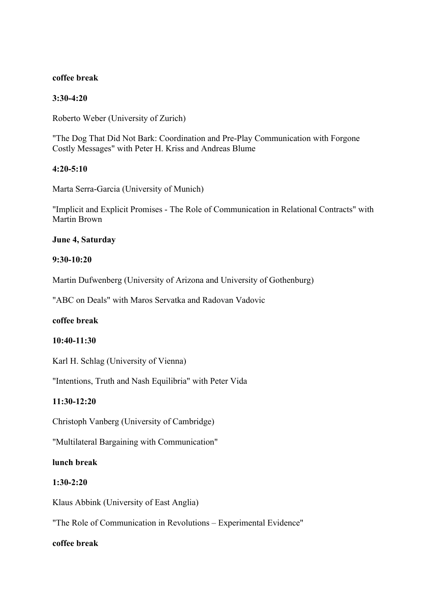#### **coffee break**

#### **3:30-4:20**

Roberto Weber (University of Zurich)

"The Dog That Did Not Bark: Coordination and Pre-Play Communication with Forgone Costly Messages" with Peter H. Kriss and Andreas Blume

#### **4:20-5:10**

Marta Serra-Garcia (University of Munich)

"Implicit and Explicit Promises - The Role of Communication in Relational Contracts" with Martin Brown

#### **June 4, Saturday**

#### **9:30-10:20**

Martin Dufwenberg (University of Arizona and University of Gothenburg)

"ABC on Deals" with Maros Servatka and Radovan Vadovic

#### **coffee break**

#### **10:40-11:30**

Karl H. Schlag (University of Vienna)

"Intentions, Truth and Nash Equilibria" with Peter Vida

## **11:30-12:20**

Christoph Vanberg (University of Cambridge)

"Multilateral Bargaining with Communication"

## **lunch break**

#### **1:30-2:20**

Klaus Abbink (University of East Anglia)

"The Role of Communication in Revolutions – Experimental Evidence"

#### **coffee break**